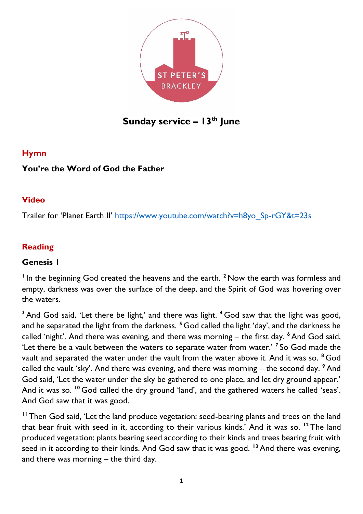

# **Sunday service – 13th June**

#### **Hymn**

## **You're the Word of God the Father**

#### **Video**

Trailer for 'Planet Earth II' [https://www.youtube.com/watch?v=h8yo\\_Sp-rGY&t=23s](https://www.youtube.com/watch?v=h8yo_Sp-rGY&t=23s)

# **Reading**

#### **Genesis 1**

<sup>1</sup>In the beginning God created the heavens and the earth.<sup>2</sup> Now the earth was formless and empty, darkness was over the surface of the deep, and the Spirit of God was hovering over the waters.

**<sup>3</sup>** And God said, 'Let there be light,' and there was light. **<sup>4</sup>** God saw that the light was good, and he separated the light from the darkness. **<sup>5</sup>** God called the light 'day', and the darkness he called 'night'. And there was evening, and there was morning – the first day. **<sup>6</sup>** And God said, 'Let there be a vault between the waters to separate water from water.' **<sup>7</sup>** So God made the vault and separated the water under the vault from the water above it. And it was so. **<sup>8</sup>** God called the vault 'sky'. And there was evening, and there was morning – the second day. **<sup>9</sup>** And God said, 'Let the water under the sky be gathered to one place, and let dry ground appear.' And it was so. <sup>10</sup> God called the dry ground 'land', and the gathered waters he called 'seas'. And God saw that it was good.

**<sup>11</sup>** Then God said, 'Let the land produce vegetation: seed-bearing plants and trees on the land that bear fruit with seed in it, according to their various kinds.' And it was so. **<sup>12</sup>** The land produced vegetation: plants bearing seed according to their kinds and trees bearing fruit with seed in it according to their kinds. And God saw that it was good. **<sup>13</sup>** And there was evening, and there was morning – the third day.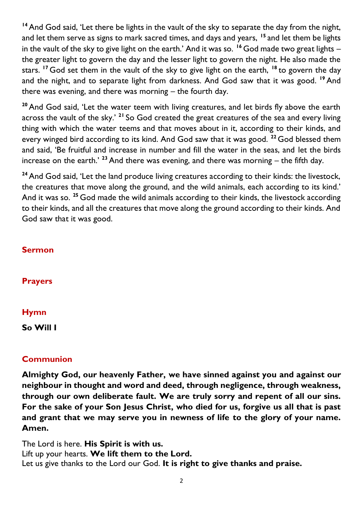**<sup>14</sup>** And God said, 'Let there be lights in the vault of the sky to separate the day from the night, and let them serve as signs to mark sacred times, and days and years, **<sup>15</sup>** and let them be lights in the vault of the sky to give light on the earth.' And it was so. **<sup>16</sup>** God made two great lights – the greater light to govern the day and the lesser light to govern the night. He also made the stars. **<sup>17</sup>** God set them in the vault of the sky to give light on the earth, **<sup>18</sup>** to govern the day and the night, and to separate light from darkness. And God saw that it was good. **<sup>19</sup>** And there was evening, and there was morning – the fourth day.

**<sup>20</sup>** And God said, 'Let the water teem with living creatures, and let birds fly above the earth across the vault of the sky.' **<sup>21</sup>** So God created the great creatures of the sea and every living thing with which the water teems and that moves about in it, according to their kinds, and every winged bird according to its kind. And God saw that it was good. **<sup>22</sup>** God blessed them and said, 'Be fruitful and increase in number and fill the water in the seas, and let the birds increase on the earth.' **<sup>23</sup>** And there was evening, and there was morning – the fifth day.

<sup>24</sup> And God said, 'Let the land produce living creatures according to their kinds: the livestock, the creatures that move along the ground, and the wild animals, each according to its kind.' And it was so. **<sup>25</sup>** God made the wild animals according to their kinds, the livestock according to their kinds, and all the creatures that move along the ground according to their kinds. And God saw that it was good.

#### **Sermon**

**Prayers**

#### **Hymn**

**So Will I**

#### **Communion**

**Almighty God, our heavenly Father, we have sinned against you and against our neighbour in thought and word and deed, through negligence, through weakness, through our own deliberate fault. We are truly sorry and repent of all our sins. For the sake of your Son Jesus Christ, who died for us, forgive us all that is past and grant that we may serve you in newness of life to the glory of your name. Amen.**

The Lord is here. **His Spirit is with us.** Lift up your hearts. **We lift them to the Lord.** Let us give thanks to the Lord our God. **It is right to give thanks and praise.**